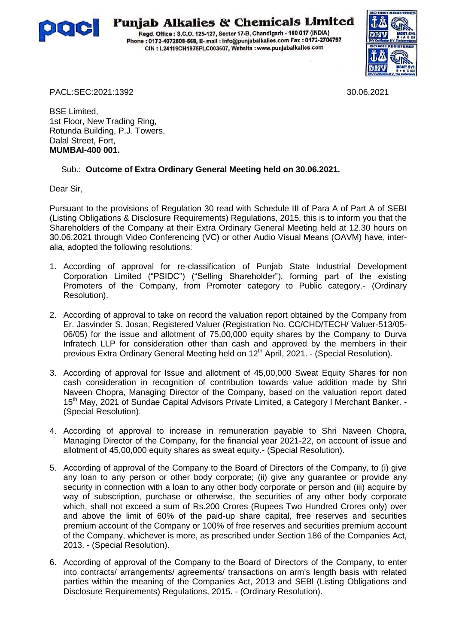

## **Punjab Alkalies & Chemicals Limited**

Regd. Office: S.C.O. 125-127, Sector 17-B, Chandigarh - 160 017 (INDIA) Phone: 0172-4072508-568, E- mail: info@punjabalkalles.com Fax: 0172-2704797 CIN : L24119CH1975PLC003607, Website : www.punjabalkalles.com



PACL:SEC:2021:1392 30.06.2021

BSE Limited, 1st Floor, New Trading Ring, Rotunda Building, P.J. Towers, Dalal Street, Fort, **MUMBAI-400 001.**

## Sub.: **Outcome of Extra Ordinary General Meeting held on 30.06.2021.**

Dear Sir,

Pursuant to the provisions of Regulation 30 read with Schedule III of Para A of Part A of SEBI (Listing Obligations & Disclosure Requirements) Regulations, 2015, this is to inform you that the Shareholders of the Company at their Extra Ordinary General Meeting held at 12.30 hours on 30.06.2021 through Video Conferencing (VC) or other Audio Visual Means (OAVM) have, interalia, adopted the following resolutions:

- 1. According of approval for re-classification of Punjab State Industrial Development Corporation Limited ("PSIDC") ("Selling Shareholder"), forming part of the existing Promoters of the Company, from Promoter category to Public category.- (Ordinary Resolution).
- 2. According of approval to take on record the valuation report obtained by the Company from Er. Jasvinder S. Josan, Registered Valuer (Registration No. CC/CHD/TECH/ Valuer-513/05- 06/05) for the issue and allotment of 75,00,000 equity shares by the Company to Durva Infratech LLP for consideration other than cash and approved by the members in their previous Extra Ordinary General Meeting held on  $12<sup>th</sup>$  April, 2021. - (Special Resolution).
- 3. According of approval for Issue and allotment of 45,00,000 Sweat Equity Shares for non cash consideration in recognition of contribution towards value addition made by Shri Naveen Chopra, Managing Director of the Company, based on the valuation report dated 15<sup>th</sup> May, 2021 of Sundae Capital Advisors Private Limited, a Category I Merchant Banker. -(Special Resolution).
- 4. According of approval to increase in remuneration payable to Shri Naveen Chopra, Managing Director of the Company, for the financial year 2021-22, on account of issue and allotment of 45,00,000 equity shares as sweat equity.- (Special Resolution).
- 5. According of approval of the Company to the Board of Directors of the Company, to (i) give any loan to any person or other body corporate; (ii) give any guarantee or provide any security in connection with a loan to any other body corporate or person and (iii) acquire by way of subscription, purchase or otherwise, the securities of any other body corporate which, shall not exceed a sum of Rs.200 Crores (Rupees Two Hundred Crores only) over and above the limit of 60% of the paid-up share capital, free reserves and securities premium account of the Company or 100% of free reserves and securities premium account of the Company, whichever is more, as prescribed under Section 186 of the Companies Act, 2013. - (Special Resolution).
- 6. According of approval of the Company to the Board of Directors of the Company, to enter into contracts/ arrangements/ agreements/ transactions on arm's length basis with related parties within the meaning of the Companies Act, 2013 and SEBl (Listing Obligations and Disclosure Requirements) Regulations, 2015. - (Ordinary Resolution).